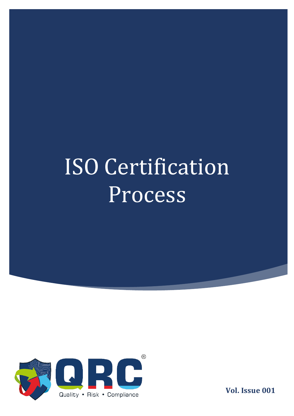

**Vol. Issue 001**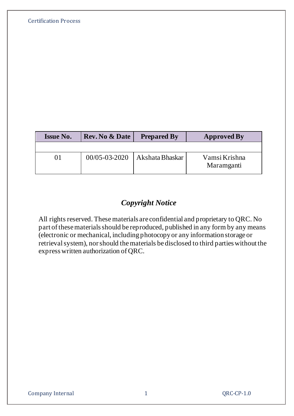| <b>Issue No.</b> | <b>Rev. No &amp; Date</b> | <b>Prepared By</b> | <b>Approved By</b> |
|------------------|---------------------------|--------------------|--------------------|
|                  |                           |                    |                    |

# *Copyright Notice*

All rights reserved. These materials are confidential and proprietary to QRC. No part of these materials should be reproduced, published in any form by any means (electronic or mechanical, including photocopy or any information storage or retrieval system), nor should the materials be disclosed to third parties without the express written authorization of QRC.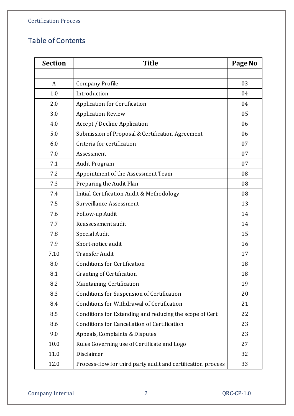# Table of Contents

| <b>Section</b> | <b>Title</b>                                                 | Page No |
|----------------|--------------------------------------------------------------|---------|
|                |                                                              |         |
| A              | <b>Company Profile</b>                                       | 03      |
| 1.0            | Introduction                                                 | 04      |
| 2.0            | <b>Application for Certification</b>                         | 04      |
| 3.0            | <b>Application Review</b>                                    | 05      |
| 4.0            | <b>Accept / Decline Application</b>                          | 06      |
| 5.0            | Submission of Proposal & Certification Agreement             | 06      |
| 6.0            | Criteria for certification                                   | 07      |
| 7.0            | Assessment                                                   | 07      |
| 7.1            | <b>Audit Program</b>                                         | 07      |
| 7.2            | Appointment of the Assessment Team                           | 08      |
| 7.3            | Preparing the Audit Plan                                     | 08      |
| 7.4            | Initial Certification Audit & Methodology                    | 08      |
| 7.5            | Surveillance Assessment                                      | 13      |
| 7.6            | Follow-up Audit                                              | 14      |
| 7.7            | Reassessment audit                                           | 14      |
| 7.8            | <b>Special Audit</b>                                         | 15      |
| 7.9            | Short-notice audit                                           | 16      |
| 7.10           | <b>Transfer Audit</b>                                        | 17      |
| 8.0            | <b>Conditions for Certification</b>                          | 18      |
| 8.1            | <b>Granting of Certification</b>                             | 18      |
| 8.2            | Maintaining Certification                                    | 19      |
| 8.3            | <b>Conditions for Suspension of Certification</b>            | 20      |
| 8.4            | Conditions for Withdrawal of Certification                   | 21      |
| 8.5            | Conditions for Extending and reducing the scope of Cert      | 22      |
| 8.6            | <b>Conditions for Cancellation of Certification</b>          | 23      |
| 9.0            | Appeals, Complaints & Disputes                               | 23      |
| 10.0           | Rules Governing use of Certificate and Logo                  | 27      |
| 11.0           | Disclaimer                                                   | 32      |
| 12.0           | Process-flow for third party audit and certification process | 33      |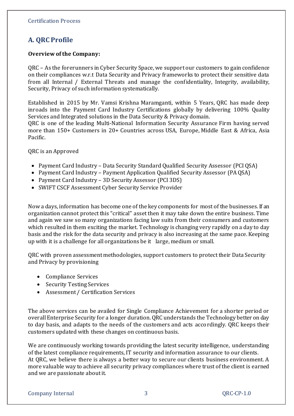# **A. QRC Profile**

## **Overview of the Company:**

QRC – As the forerunners in Cyber Security Space, we support our customers to gain confidence on their compliances w.r.t Data Security and Privacy frameworks to protect their sensitive data from all Internal / External Threats and manage the confidentiality, Integrity, availability, Security, Privacy of such information systematically.

Established in 2015 by Mr. Vamsi Krishna Maramganti, within 5 Years, QRC has made deep inroads into the Payment Card Industry Certifications globally by delivering 100% Quality Services and Integrated solutions in the Data Security & Privacy domain.

QRC is one of the leading Multi-National Information Security Assurance Firm having served more than 150+ Customers in 20+ Countries across USA, Europe, Middle East & Africa, Asia Pacific.

QRC is an Approved

- Payment Card Industry Data Security Standard Qualified Security Assessor (PCI QSA)
- Payment Card Industry Payment Application Qualified Security Assessor (PA QSA)
- Payment Card Industry 3D Security Assessor (PCI 3DS)
- SWIFT CSCF Assessment Cyber Security Service Provider

Now a days, information has become one of the key components for most of the businesses. If an organization cannot protect this "critical" asset then it may take down the entire business. Time and again we saw so many organizations facing law suits from their consumers and customers which resulted in them exciting the market. Technology is changing very rapidly on a day to day basis and the risk for the data security and privacy is also increasing at the same pace. Keeping up with it is a challenge for all organizations be it large, medium or small.

QRC with proven assessment methodologies, support customers to protect their Data Security and Privacy by provisioning

- Compliance Services
- Security Testing Services
- Assessment / Certification Services

The above services can be availed for Single Compliance Achievement for a shorter period or overall Enterprise Security for a longer duration. QRC understands the Technology better on day to day basis, and adapts to the needs of the customers and acts accordingly. QRC keeps their customers updated with these changes on continuous basis.

We are continuously working towards providing the latest security intelligence, understanding of the latest compliance requirements, IT security and information assurance to our clients. At QRC, we believe there is always a better way to secure our clients business environment. A more valuable way to achieve all security privacy compliances where trust of the client is earned and we are passionate about it.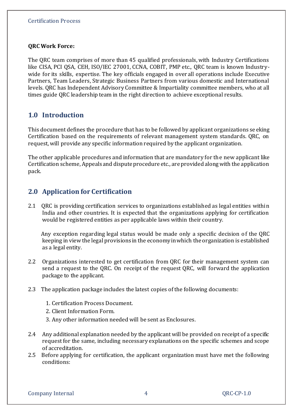## **QRC Work Force:**

The QRC team comprises of more than 45 qualified professionals, with Industry Certifications like CISA, PCI QSA, CEH, ISO/IEC 27001, CCNA, COBIT, PMP etc., QRC team is known Industrywide for its skills, expertise. The key officials engaged in overall operations include Executive Partners, Team Leaders, Strategic Business Partners from various domestic and International levels. QRC has Independent Advisory Committee & Impartiality committee members, who at all times guide QRC leadership team in the right direction to achieve exceptional results.

# **1.0 Introduction**

This document defines the procedure that has to be followed by applicant organizations se eking Certification based on the requirements of relevant management system standards. QRC, on request, will provide any specific information required by the applicant organization.

The other applicable procedures and information that are mandatory for the new applicant like Certification scheme, Appeals and dispute procedure etc., are provided along with the application pack.

# **2.0 Application for Certification**

2.1 QRC is providing certification services to organizations established as legal entities within India and other countries. It is expected that the organizations applying for certification would be registered entities as per applicable laws within their country.

 Any exception regarding legal status would be made only a specific decision o f the QRC keeping in view the legal provisions in the economy in which the organization is established as a legal entity.

- 2.2 Organizations interested to get certification from QRC for their management system can send a request to the QRC. On receipt of the request QRC, will forward the application package to the applicant.
- 2.3 The application package includes the latest copies of the following documents:
	- 1. Certification Process Document.
	- 2. Client Information Form.
	- 3. Any other information needed will be sent as Enclosures.
- 2.4 Any additional explanation needed by the applicant will be provided on receipt of a specific request for the same, including necessary explanations on the specific schemes and scope of accreditation.
- 2.5 Before applying for certification, the applicant organization must have met the following conditions: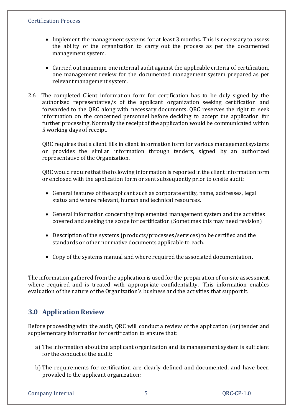- Implement the management systems for at least 3 months**.** This is necessary to assess the ability of the organization to carry out the process as per the documented management system.
- Carried out minimum one internal audit against the applicable criteria of certification, one management review for the documented management system prepared as per relevant management system.
- 2.6 The completed Client information form for certification has to be duly signed by the authorized representative/s of the applicant organization seeking certification and forwarded to the QRC along with necessary documents. QRC reserves the right to seek information on the concerned personnel before deciding to accept the application for further processing. Normally the receipt of the application would be communicated within 5 working days of receipt.

QRC requires that a client fills in client information form for various management systems or provides the similar information through tenders, signed by an authorized representative of the Organization.

QRC would require that the following information is reported in the client information form or enclosed with the application form or sent subsequently prior to onsite audit:

- General features of the applicant such as corporate entity, name, addresses, legal status and where relevant, human and technical resources.
- General information concerning implemented management system and the activities covered and seeking the scope for certification (Sometimes this may need revision)
- Description of the systems (products/processes/services) to be certified and the standards or other normative documents applicable to each.
- Copy of the systems manual and where required the associated documentation.

The information gathered from the application is used for the preparation of on-site assessment, where required and is treated with appropriate confidentiality. This information enables evaluation of the nature of the Organization's business and the activities that support it.

# **3.0 Application Review**

Before proceeding with the audit, QRC will conduct a review of the application (or) tender and supplementary information for certification to ensure that:

- a) The information about the applicant organization and its management system is sufficient for the conduct of the audit;
- b) The requirements for certification are clearly defined and documented, and have been provided to the applicant organization;

Company Internal 5 QRC-CP-1.0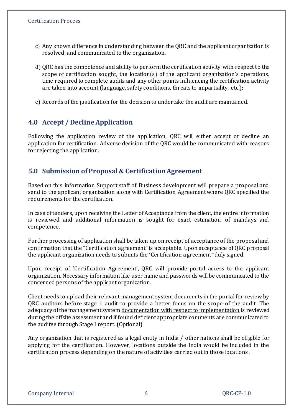- c) Any known difference in understanding between the QRC and the applicant organization is resolved; and communicated to the organization.
- d) QRC has the competence and ability to perform the certification activity with respect to the scope of certification sought, the location(s) of the applicant organization's operations, time required to complete audits and any other points influencing the certification activity are taken into account (language, safety conditions, threats to impartiality, etc.);
- e) Records of the justification for the decision to undertake the audit are maintained.

# **4.0 Accept / Decline Application**

Following the application review of the application, QRC will either accept or decline an application for certification. Adverse decision of the QRC would be communicated with reasons for rejecting the application.

# **5.0 Submission of Proposal & Certification Agreement**

Based on this information Support staff of Business development will prepare a proposal and send to the applicant organization along with Certification Agreement where QRC specified the requirements for the certification.

In case of tenders, upon receiving the Letter of Acceptance from the client, the entire information is reviewed and additional information is sought for exact estimation of mandays and competence.

Further processing of application shall be taken up on receipt of acceptance of the proposal and confirmation that the "Certification agreement" is acceptable. Upon acceptance of QRC proposal the applicant organization needs to submits the 'Certification agreement "duly signed.

Upon receipt of 'Certification Agreement', QRC will provide portal access to the applicant organization. Necessary information like user name and passwords will be communicated to the concerned persons of the applicant organization.

Client needs to upload their relevant management system documents in the portal for review by QRC auditors before stage 1 audit to provide a better focus on the scope of the audit. The adequacy of the management system documentation with respect to implementation is reviewed during the offsite assessment and if found deficient appropriate comments are communicated to the auditee through Stage I report. (Optional)

Any organization that is registered as a legal entity in India / other nations shall be eligible for applying for the certification. However, locations outside the India would be included in the certification process depending on the nature of activities carried out in those locations .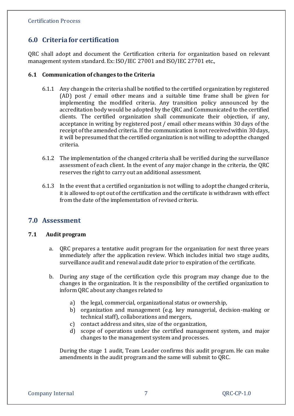# **6.0 Criteria for certification**

QRC shall adopt and document the Certification criteria for organization based on relevant management system standard. Ex: ISO/IEC 27001 and ISO/IEC 27701 etc.,

## **6.1 Communication of changes to the Criteria**

- 6.1.1 Any change in the criteria shall be notified to the certified organization by registered (AD) post / email other means and a suitable time frame shall be given for implementing the modified criteria. Any transition policy announced by the accreditation body would be adopted by the QRC and Communicated to the certified clients. The certified organization shall communicate their objection, if any, acceptance in writing by registered post / email other means within 30 days of the receipt of the amended criteria. If the communication is not received within 30 days, it will be presumed that the certified organization is not willing to adopt the changed criteria.
- 6.1.2 The implementation of the changed criteria shall be verified during the surveillance assessment of each client. In the event of any major change in the criteria, the QRC reserves the right to carry out an additional assessment.
- 6.1.3 In the event that a certified organization is not willing to adopt the changed criteria, it is allowed to opt out of the certification and the certificate is withdrawn with effect from the date of the implementation of revised criteria.

# **7.0 Assessment**

#### **7.1 Audit program**

- a. QRC prepares a tentative audit program for the organization for next three years immediately after the application review. Which includes initial two stage audits, surveillance audit and renewal audit date prior to expiration of the certificate.
- b. During any stage of the certification cycle this program may change due to the changes in the organization. It is the responsibility of the certified organization to inform QRC about any changes related to
	- a) the legal, commercial, organizational status or ownership,
	- b) organization and management (e.g. key managerial, decision-making or technical staff), collaborations and mergers,
	- c) contact address and sites, size of the organization,
	- d) scope of operations under the certified management system, and major changes to the management system and processes.

During the stage 1 audit, Team Leader confirms this audit program. He can make amendments in the audit program and the same will submit to QRC.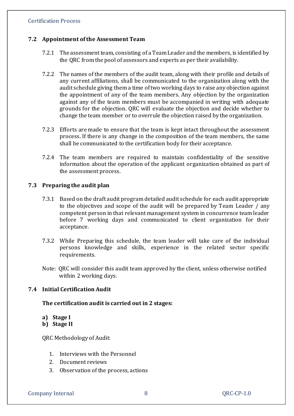#### **7.2 Appointment of the Assessment Team**

- 7.2.1 The assessment team, consisting of a Team Leader and the members, is identified by the QRC from the pool of assessors and experts as per their availability.
- 7.2.2 The names of the members of the audit team, along with their profile and details of any current affiliations, shall be communicated to the organization along with the audit schedule giving them a time of two working days to raise any objection against the appointment of any of the team members. Any objection by the organization against any of the team members must be accompanied in writing with adequate grounds for the objection. QRC will evaluate the objection and decide whether to change the team member or to overrule the objection raised by the organization.
- 7.2.3 Efforts are made to ensure that the team is kept intact throughout the assessment process. If there is any change in the composition of the team members, the same shall be communicated to the certification body for their acceptance.
- 7.2.4 The team members are required to maintain confidentiality of the sensitive information about the operation of the applicant organization obtained as part of the assessment process.

#### **7.3 Preparing the audit plan**

- 7.3.1 Based on the draft audit program detailed audit schedule for each audit appropriate to the objectives and scope of the audit will be prepared by Team Leader / any competent person in that relevant management system in concurrence team leader before 7 working days and communicated to client organization for their acceptance.
- 7.3.2 While Preparing this schedule, the team leader will take care of the individual persons knowledge and skills, experience in the related sector specific requirements.
- Note: QRC will consider this audit team approved by the client, unless otherwise notified within 2 working days.

## **7.4 Initial Certification Audit**

#### **The certification audit is carried out in 2 stages:**

- **a) Stage I**
- **b) Stage II**

QRC Methodology of Audit:

- 1. Interviews with the Personnel
- 2. Document reviews
- 3. Observation of the process, actions

Company Internal 8 QRC-CP-1.0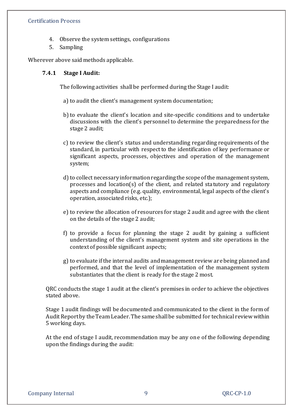- 4. Observe the system settings, configurations
- 5. Sampling

Wherever above said methods applicable.

#### **7.4.1 Stage I Audit:**

The following activities shall be performed during the Stage I audit:

a) to audit the client's management system documentation;

- b)to evaluate the client's location and site-specific conditions and to undertake discussions with the client's personnel to determine the preparedness for the stage 2 audit;
- c) to review the client's status and understanding regarding requirements of the standard, in particular with respect to the identification of key performance or significant aspects, processes, objectives and operation of the management system;
- d) to collect necessary information regarding the scope of the management system. processes and location(s) of the client, and related statutory and regulatory aspects and compliance (e.g. quality, environmental, legal aspects of the client's operation, associated risks, etc.);
- e) to review the allocation of resources for stage 2 audit and agree with the client on the details of the stage 2 audit;
- f) to provide a focus for planning the stage 2 audit by gaining a sufficient understanding of the client's management system and site operations in the context of possible significant aspects;
- g) to evaluate if the internal audits and management review are being planned and performed, and that the level of implementation of the management system substantiates that the client is ready for the stage 2 most.

QRC conducts the stage 1 audit at the client's premises in order to achieve the objectives stated above.

Stage 1 audit findings will be documented and communicated to the client in the form of Audit Report by the Team Leader. The same shall be submitted for technical review within 5 working days.

At the end of stage I audit, recommendation may be any one of the following depending upon the findings during the audit: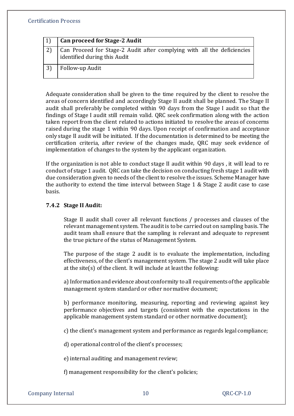| l 1 l | Can proceed for Stage-2 Audit                                                                           |
|-------|---------------------------------------------------------------------------------------------------------|
|       | Can Proceed for Stage-2 Audit after complying with all the deficiencies<br>identified during this Audit |
|       | Follow-up Audit                                                                                         |

Adequate consideration shall be given to the time required by the client to resolve the areas of concern identified and accordingly Stage II audit shall be planned. The Stage II audit shall preferably be completed within 90 days from the Stage I audit so that the findings of Stage I audit still remain valid. QRC seek confirmation along with the action taken report from the client related to actions initiated to resolve the areas of concerns raised during the stage 1 within 90 days. Upon receipt of confirmation and acceptance only stage II audit will be initiated. If the documentation is determined to be meeting the certification criteria, after review of the changes made, QRC may seek evidence of implementation of changes to the system by the applicant organization.

If the organization is not able to conduct stage II audit within 90 days , it will lead to re conduct of stage 1 audit. QRC can take the decision on conducting fresh stage 1 audit with due consideration given to needs of the client to resolve the issues. Scheme Manager have the authority to extend the time interval between Stage 1 & Stage 2 audit case to case basis.

## **7.4.2 Stage II Audit:**

Stage II audit shall cover all relevant functions / processes and clauses of the relevant management system. The audit is to be carried out on sampling basis. The audit team shall ensure that the sampling is relevant and adequate to represent the true picture of the status of Management System.

The purpose of the stage 2 audit is to evaluate the implementation, including effectiveness, of the client's management system. The stage 2 audit will take place at the site(s) of the client. It will include at least the following:

a) Information and evidence about conformity to all requirements of the applicable management system standard or other normative document;

b) performance monitoring, measuring, reporting and reviewing against key performance objectives and targets (consistent with the expectations in the applicable management system standard or other normative document);

c) the client's management system and performance as regards legal compliance;

d) operational control of the client's processes;

e) internal auditing and management review;

f) management responsibility for the client's policies;

Company Internal 10 Company Internal 20 COME 20 QRC-CP-1.0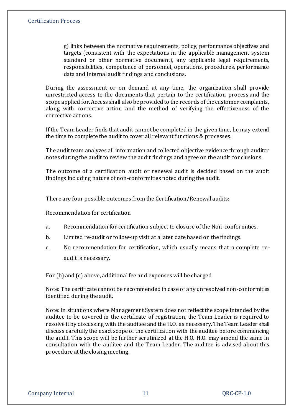g) links between the normative requirements, policy, performance objectives and targets (consistent with the expectations in the applicable management system standard or other normative document), any applicable legal requirements, responsibilities, competence of personnel, operations, procedures, performance data and internal audit findings and conclusions.

During the assessment or on demand at any time, the organization shall provide unrestricted access to the documents that pertain to the certification process and the scope applied for. Access shall also be provided to the records of the customer complaints, along with corrective action and the method of verifying the effectiveness of the corrective actions.

If the Team Leader finds that audit cannot be completed in the given time, he may extend the time to complete the audit to cover all relevant functions & processes.

The audit team analyzes all information and collected objective evidence through auditor notes during the audit to review the audit findings and agree on the audit conclusions.

The outcome of a certification audit or renewal audit is decided based on the audit findings including nature of non-conformities noted during the audit.

There are four possible outcomes from the Certification/Renewal audits:

Recommendation for certification

- a. Recommendation for certification subject to closure of the Non-conformities.
- b. Limited re-audit or follow-up visit at a later date based on the findings.
- c. No recommendation for certification, which usually means that a complete reaudit is necessary.

For (b) and (c) above, additional fee and expenses will be charged

Note: The certificate cannot be recommended in case of any unresolved non-conformities identified during the audit.

Note: In situations where Management System does not reflect the scope intended by the auditee to be covered in the certificate of registration, the Team Leader is required to resolve it by discussing with the auditee and the H.O. as necessary. The Team Leader shall discuss carefully the exact scope of the certification with the auditee before commencing the audit. This scope will be further scrutinized at the H.O. H.O. may amend the same in consultation with the auditee and the Team Leader. The auditee is advised about this procedure at the closing meeting.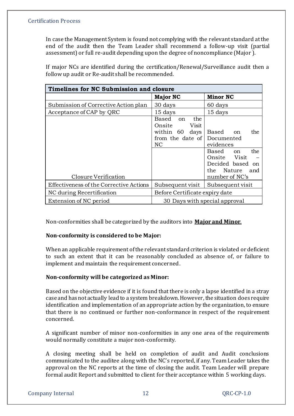In case the Management System is found not complying with the relevant standard at the end of the audit then the Team Leader shall recommend a follow-up visit (partial assessment) or full re-audit depending upon the degree of noncompliance (Major ).

| Timelines for NC Submission and closure |                                                                                                  |                                                                                                                                                                         |  |  |  |  |
|-----------------------------------------|--------------------------------------------------------------------------------------------------|-------------------------------------------------------------------------------------------------------------------------------------------------------------------------|--|--|--|--|
|                                         | <b>Major NC</b>                                                                                  | <b>Minor NC</b>                                                                                                                                                         |  |  |  |  |
| Submission of Corrective Action plan    | 30 days                                                                                          | 60 days                                                                                                                                                                 |  |  |  |  |
| Acceptance of CAP by QRC                | 15 days                                                                                          | 15 days                                                                                                                                                                 |  |  |  |  |
| Closure Verification                    | the<br>Based<br><sub>on</sub><br>Visit<br>Onsite<br>within 60<br>days<br>from the date of<br>NC. | the<br>Based<br><sub>on</sub><br>Documented<br>evidences<br>the<br>Based<br><sub>on</sub><br>Onsite Visit<br>Decided based<br>on<br>the Nature<br>and<br>number of NC's |  |  |  |  |
| Effectiveness of the Corrective Actions | Subsequent visit                                                                                 | Subsequent visit                                                                                                                                                        |  |  |  |  |
| NC during Recertification               | Before Certificate expiry date                                                                   |                                                                                                                                                                         |  |  |  |  |
| Extension of NC period                  | 30 Days with special approval                                                                    |                                                                                                                                                                         |  |  |  |  |

If major NCs are identified during the certification/Renewal/Surveillance audit then a follow up audit or Re-audit shall be recommended.

Non-conformities shall be categorized by the auditors into **Major and Minor**.

# **Non-conformity is considered to be Major:**

When an applicable requirement of the relevant standard criterion is violated or deficient to such an extent that it can be reasonably concluded as absence of, or failure to implement and maintain the requirement concerned.

# **Non-conformity will be categorized as Minor:**

Based on the objective evidence if it is found that there is only a lapse identified in a stray case and has not actually lead to a system breakdown. However, the situation does require identification and implementation of an appropriate action by the organization, to ensure that there is no continued or further non-conformance in respect of the requirement concerned.

A significant number of minor non-conformities in any one area of the requirements would normally constitute a major non-conformity.

A closing meeting shall be held on completion of audit and Audit conclusions communicated to the auditee along with the NC's reported, if any. Team Leader takes the approval on the NC reports at the time of closing the audit. Team Leader will prepare formal audit Report and submitted to client for their acceptance within 5 working days.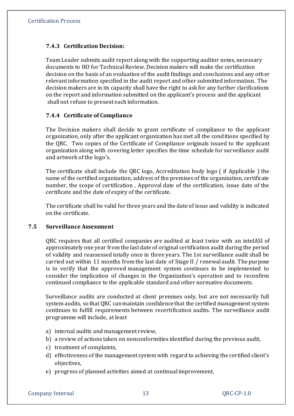# **7.4.3 Certification Decision:**

Team Leader submits audit report along with the supporting auditor notes, necessary documents to HO for Technical Review. Decision makers will make the certification decision on the basis of an evaluation of the audit findings and conclusions and any other relevant information specified in the audit report and other submitted information. The decision makers are in its capacity shall have the right to ask for any further clarifications on the report and information submitted on the applicant's process and the applicant shall not refuse to present such information.

## **7.4.4 Certificate of Compliance**

The Decision makers shall decide to grant certificate of compliance to the applicant organization, only after the applicant organization has met all the conditions specified by the QRC. Two copies of the Certificate of Compliance originals issued to the applicant organization along with covering letter specifies the time schedule for surveillance audit and artwork of the logo's.

The certificate shall include the QRC logo, Accreditation body logo ( if Applicable ) the name of the certified organization, address of the premises of the organization, certificate number, the scope of certification , Approval date of the certification, issue date of the certificate and the date of expiry of the certificate.

The certificate shall be valid for three years and the date of issue and validity is indicated on the certificate.

#### **7.5 Surveillance Assessment**

QRC requires that all certified companies are audited at least twice with an inteIASl of approximately one year from the last date of original certification audit during the period of validity and reassessed totally once in three years. The 1st surveillance audit shall be carried out within 11 months from the last date of Stage II / renewal audit. The purpose is to verify that the approved management system continues to be implemented to consider the implication of changes in the Organization's operation and to reconfirm continued compliance to the applicable standard and other normative documents.

Surveillance audits are conducted at client premises only, but are not necessarily full system audits, so that QRC can maintain confidence that the certified management system continues to fulfill requirements between recertification audits. The surveillance audit programme will include, at least

- a) internal audits and management review,
- b) a review of actions taken on nonconformities identified during the previous audit,
- c) treatment of complaints,
- d) effectiveness of the management system with regard to achieving the certified client's objectives,
- e) progress of planned activities aimed at continual improvement,

Company Internal 13 and 13 QRC-CP-1.0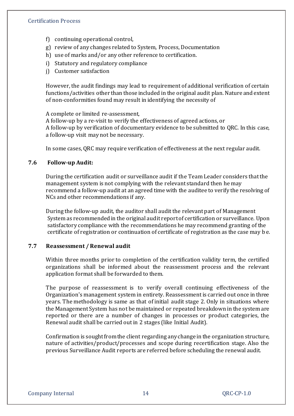- f) continuing operational control,
- g) review of any changes related to System, Process, Documentation
- h) use of marks and/or any other reference to certification.
- i) Statutory and regulatory compliance
- j) Customer satisfaction

However, the audit findings may lead to requirement of additional verification of certain functions/activities other than those included in the original audit plan. Nature and extent of non-conformities found may result in identifying the necessity of

A complete or limited re-assessment,

A follow-up by a re-visit to verify the effectiveness of agreed actions, or A follow-up by verification of documentary evidence to be submitted to QRC. In this case, a follow-up visit may not be necessary.

In some cases, QRC may require verification of effectiveness at the next regular audit.

#### **7.6 Follow-up Audit:**

During the certification audit or surveillance audit if the Team Leader considers that the management system is not complying with the relevant standard then he may recommend a follow-up audit at an agreed time with the auditee to verify the resolving of NCs and other recommendations if any.

During the follow-up audit, the auditor shall audit the relevant part of Management System as recommended in the original audit report of certification or surveillance. Upon satisfactory compliance with the recommendations he may recommend granting of the certificate of registration or continuation of certificate of registration as the case may b e.

#### **7.7 Reassessment / Renewal audit**

Within three months prior to completion of the certification validity term, the certified organizations shall be informed about the reassessment process and the relevant application format shall be forwarded to them.

The purpose of reassessment is to verify overall continuing effectiveness of the Organization's management system in entirety. Reassessment is carried out once in three years. The methodology is same as that of initial audit stage 2. Only in situations where the Management System has not be maintained or repeated breakdown in the system are reported or there are a number of changes in processes or product categories, the Renewal audit shall be carried out in 2 stages (like Initial Audit).

Confirmation is sought from the client regarding any change in the organization structure, nature of activities/product/processes and scope during recertification stage. Also the previous Surveillance Audit reports are referred before scheduling the renewal audit.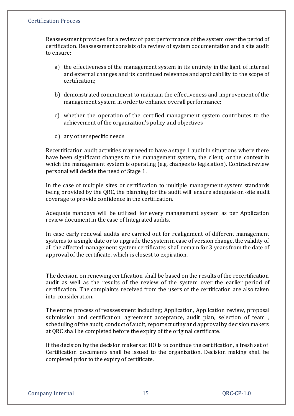Reassessment provides for a review of past performance of the system over the period of certification. Reassessment consists of a review of system documentation and a site audit to ensure:

- a) the effectiveness of the management system in its entirety in the light of internal and external changes and its continued relevance and applicability to the scope of certification;
- b) demonstrated commitment to maintain the effectiveness and improvement of the management system in order to enhance overall performance;
- c) whether the operation of the certified management system contributes to the achievement of the organization's policy and objectives
- d) any other specific needs

Recertification audit activities may need to have a stage 1 audit in situations where there have been significant changes to the management system, the client, or the context in which the management system is operating (e.g. changes to legislation). Contract review personal will decide the need of Stage 1.

In the case of multiple sites or certification to multiple management system standards being provided by the QRC, the planning for the audit will ensure adequate on-site audit coverage to provide confidence in the certification.

Adequate mandays will be utilized for every management system as per Application review document in the case of Integrated audits.

In case early renewal audits are carried out for realignment of different management systems to a single date or to upgrade the system in case of version change, the validity of all the affected management system certificates shall remain for 3 years from the date of approval of the certificate, which is closest to expiration.

The decision on renewing certification shall be based on the results of the recertification audit as well as the results of the review of the system over the earlier period of certification. The complaints received from the users of the certification are also taken into consideration.

The entire process of reassessment including; Application, Application review, proposal submission and certification agreement acceptance, audit plan, selection of team , scheduling of the audit, conduct of audit, report scrutiny and approval by decision makers at QRC shall be completed before the expiry of the original certificate.

If the decision by the decision makers at HO is to continue the certification, a fresh set of Certification documents shall be issued to the organization. Decision making shall be completed prior to the expiry of certificate.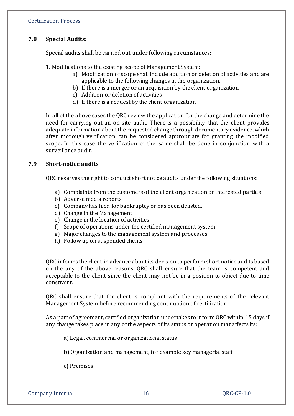# **7.8 Special Audits:**

Special audits shall be carried out under following circumstances:

- 1. Modifications to the existing scope of Management System:
	- a) Modification of scope shall include addition or deletion of activities and are applicable to the following changes in the organization.
	- b) If there is a merger or an acquisition by the client organization
	- c) Addition or deletion of activities
	- d) If there is a request by the client organization

In all of the above cases the QRC review the application for the change and determine the need for carrying out an on-site audit. There is a possibility that the client provides adequate information about the requested change through documentary evidence, which after thorough verification can be considered appropriate for granting the modified scope. In this case the verification of the same shall be done in conjunction with a surveillance audit.

#### **7.9 Short-notice audits**

QRC reserves the right to conduct short notice audits under the following situations:

- a) Complaints from the customers of the client organization or interested parties
- b) Adverse media reports
- c) Company has filed for bankruptcy or has been delisted.
- d) Change in the Management
- e) Change in the location of activities
- f) Scope of operations under the certified management system
- g) Major changes to the management system and processes
- h) Follow up on suspended clients

QRC informs the client in advance about its decision to perform short notice audits based on the any of the above reasons. QRC shall ensure that the team is competent and acceptable to the client since the client may not be in a position to object due to time constraint.

QRC shall ensure that the client is compliant with the requirements of the relevant Management System before recommending continuation of certification.

As a part of agreement, certified organization undertakes to inform QRC within 15 days if any change takes place in any of the aspects of its status or operation that affects its:

a) Legal, commercial or organizational status

b) Organization and management, for example key managerial staff

c) Premises

Company Internal 16 and 16 QRC-CP-1.0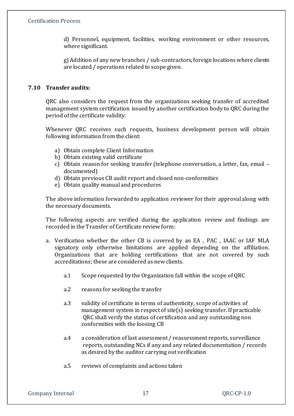d) Personnel, equipment, facilities, working environment or other resources, where significant.

g) Addition of any new branches / sub-contractors, foreign locations where clients are located / operations related to scope given.

# **7.10 Transfer audits:**

QRC also considers the request from the organizations seeking transfer of accredited management system certification issued by another certification body to QRC during the period of the certificate validity.

Whenever QRC receives such requests, business development person will obtain following information from the client:

- a) Obtain complete Client Information
- b) Obtain existing valid certificate
- c) Obtain reason for seeking transfer (telephone conversation, a letter, fax, email documented)
- d) Obtain previous CB audit report and closed non-conformities
- e) Obtain quality manual and procedures

The above information forwarded to application reviewer for their approval along with the necessary documents.

The following aspects are verified during the application review and findings are recorded in the Transfer of Certificate review form:

- a. Verification whether the other CB is covered by an EA , PAC , IAAC or IAF MLA signatory only otherwise limitations are applied depending on the affiliation. Organizations that are holding certifications that are not covered by such accreditations; these are considered as new clients.
	- a.1 Scope requested by the Organization fall within the scope of QRC
	- a.2 reasons for seeking the transfer
	- a.3 validity of certificate in terms of authenticity, scope of activities of management system in respect of site(s) seeking transfer. If practicable QRC shall verify the status of certification and any outstanding non conformities with the loosing CB
	- a.4 a consideration of last assessment / reassessment reports, surveillance reports, outstanding NCs if any and any related documentation / records as desired by the auditor carrying out verification
	- a.5 reviews of complaints and actions taken

Company Internal 17 and 17 QRC-CP-1.0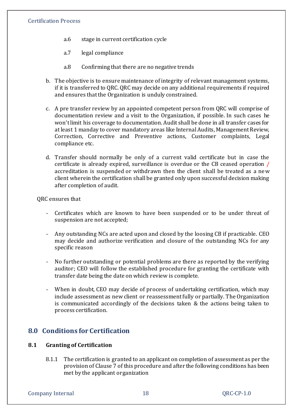- a.6 stage in current certification cycle
- a.7 legal compliance
- a.8 Confirming that there are no negative trends
- b. The objective is to ensure maintenance of integrity of relevant management systems, if it is transferred to QRC. QRC may decide on any additional requirements if required and ensures that the Organization is unduly constrained.
- c. A pre transfer review by an appointed competent person from QRC will comprise of documentation review and a visit to the Organization, if possible. In such cases he won't limit his coverage to documentation. Audit shall be done in all transfer cases for at least 1 manday to cover mandatory areas like Internal Audits, Management Review, Correction, Corrective and Preventive actions, Customer complaints, Legal compliance etc.
- d. Transfer should normally be only of a current valid certificate but in case the certificate is already expired, surveillance is overdue or the CB ceased operation / accreditation is suspended or withdrawn then the client shall be treated as a new client wherein the certification shall be granted only upon successful decision making after completion of audit.

#### QRC ensures that

- Certificates which are known to have been suspended or to be under threat of suspension are not accepted;
- Any outstanding NCs are acted upon and closed by the loosing CB if practicable. CEO may decide and authorize verification and closure of the outstanding NCs for any specific reason
- No further outstanding or potential problems are there as reported by the verifying auditor; CEO will follow the established procedure for granting the certificate with transfer date being the date on which review is complete.
- When in doubt, CEO may decide of process of undertaking certification, which may include assessment as new client or reassessment fully or partially. The Organization is communicated accordingly of the decisions taken & the actions being taken to process certification.

# **8.0 Conditions for Certification**

#### **8.1 Granting of Certification**

8.1.1 The certification is granted to an applicant on completion of assessment as per the provision of Clause 7 of this procedure and after the following conditions has been met by the applicant organization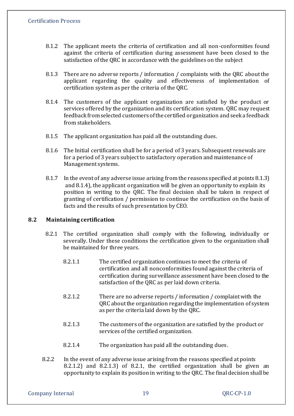- 8.1.2 The applicant meets the criteria of certification and all non-conformities found against the criteria of certification during assessment have been closed to the satisfaction of the QRC in accordance with the guidelines on the subject
- 8.1.3 There are no adverse reports / information / complaints with the QRC about the applicant regarding the quality and effectiveness of implementation of certification system as per the criteria of the QRC.
- 8.1.4 The customers of the applicant organization are satisfied by the product or services offered by the organization and its certification system. QRC may request feedback from selected customers of the certified organization and seek a feedback from stakeholders.
- 8.1.5 The applicant organization has paid all the outstanding dues.
- 8.1.6 The Initial certification shall be for a period of 3 years. Subsequent renewals are for a period of 3 years subject to satisfactory operation and maintenance of Management systems.
- 8.1.7 In the event of any adverse issue arising from the reasons specified at points 8.1.3) and 8.1.4), the applicant organization will be given an opportunity to explain its position in writing to the QRC. The final decision shall be taken in respect of granting of certification / permission to continue the certification on the basis of facts and the results of such presentation by CEO.

#### **8.2 Maintaining certification**

- 8.2.1 The certified organization shall comply with the following, individually or severally. Under these conditions the certification given to the organization shall be maintained for three years.
	- 8.2.1.1 The certified organization continues to meet the criteria of certification and all nonconformities found against the criteria of certification during surveillance assessment have been closed to the satisfaction of the QRC as per laid down criteria.
	- 8.2.1.2 There are no adverse reports / information / complaint with the QRC about the organization regarding the implementation of system as per the criteria laid down by the QRC.
	- 8.2.1.3 The customers of the organization are satisfied by the product or services of the certified organization.
	- 8.2.1.4 The organization has paid all the outstanding dues.
- 8.2.2 In the event of any adverse issue arising from the reasons specified at points 8.2.1.2) and 8.2.1.3) of 8.2.1, the certified organization shall be given an opportunity to explain its position in writing to the QRC. The final decision shall be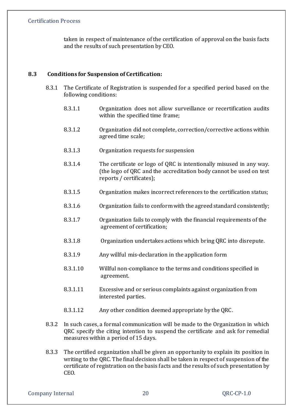taken in respect of maintenance of the certification of approval on the basis facts and the results of such presentation by CEO.

## **8.3 Conditions for Suspension of Certification:**

- 8.3.1 The Certificate of Registration is suspended for a specified period based on the following conditions:
	- 8.3.1.1 Organization does not allow surveillance or recertification audits within the specified time frame;
	- 8.3.1.2 Organization did not complete, correction/corrective actions within agreed time scale;
	- 8.3.1.3 Organization requests for suspension
	- 8.3.1.4 The certificate or logo of QRC is intentionally misused in any way. (the logo of QRC and the accreditation body cannot be used on test reports / certificates);
	- 8.3.1.5 Organization makes incorrect references to the certification status;
	- 8.3.1.6 Organization fails to conform with the agreed standard consistently;
	- 8.3.1.7 Organization fails to comply with the financial requirements of the agreement of certification;
	- 8.3.1.8 Organization undertakes actions which bring QRC into disrepute.
	- 8.3.1.9 Any willful mis-declaration in the application form
	- 8.3.1.10 Willful non-compliance to the terms and conditions specified in agreement.
	- 8.3.1.11 Excessive and or serious complaints against organization from interested parties.
	- 8.3.1.12 Any other condition deemed appropriate by the QRC.
- 8.3.2 In such cases, a formal communication will be made to the Organization in which QRC specify the citing intention to suspend the certificate and ask for remedial measures within a period of 15 days.
- 8.3.3 The certified organization shall be given an opportunity to explain its position in writing to the QRC. The final decision shall be taken in respect of suspension of the certificate of registration on the basis facts and the results of such presentation by CEO.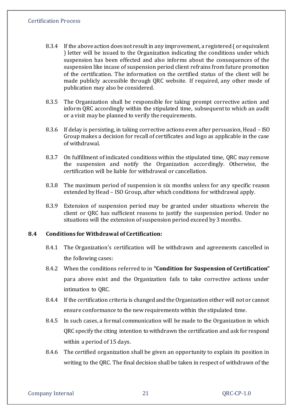- 8.3.4 If the above action does not result in any improvement, a registered ( or equivalent ) letter will be issued to the Organization indicating the conditions under which suspension has been effected and also informs about the consequences of the suspension like incase of suspension period client refrains from future promotion of the certification. The information on the certified status of the client will be made publicly accessible through QRC website. If required, any other mode of publication may also be considered.
- 8.3.5 The Organization shall be responsible for taking prompt corrective action and inform QRC accordingly within the stipulated time, subsequent to which an audit or a visit may be planned to verify the requirements.
- 8.3.6 If delay is persisting, in taking corrective actions even after persuasion, Head ISO Group makes a decision for recall of certificates and logo as applicable in the case of withdrawal.
- 8.3.7 On fulfillment of indicated conditions within the stipulated time, QRC may remove the suspension and notify the Organization accordingly. Otherwise, the certification will be liable for withdrawal or cancellation.
- 8.3.8 The maximum period of suspension is six months unless for any specific reason extended by Head – ISO Group, after which conditions for withdrawal apply.
- 8.3.9 Extension of suspension period may be granted under situations wherein the client or QRC has sufficient reasons to justify the suspension period. Under no situations will the extension of suspension period exceed by 3 months.

#### **8.4 Conditions for Withdrawal of Certification:**

- 8.4.1 The Organization's certification will be withdrawn and agreements cancelled in the following cases:
- 8.4.2 When the conditions referred to in **"Condition for Suspension of Certification"** para above exist and the Organization fails to take corrective actions under intimation to QRC.
- 8.4.4 If the certification criteria is changed and the Organization either will not or cannot ensure conformance to the new requirements within the stipulated time.
- 8.4.5 In such cases, a formal communication will be made to the Organization in which QRC specify the citing intention to withdrawn the certification and ask for respond within a period of 15 days.
- 8.4.6 The certified organization shall be given an opportunity to explain its position in writing to the QRC. The final decision shall be taken in respect of withdrawn of the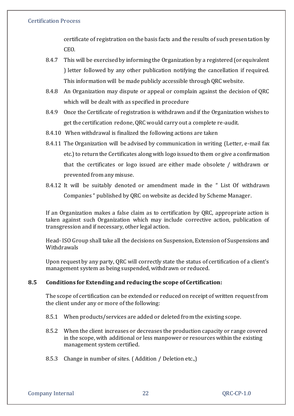certificate of registration on the basis facts and the results of such presentation by CEO.

- 8.4.7 This will be exercised by informing the Organization by a registered (or equivalent ) letter followed by any other publication notifying the cancellation if required. This information will be made publicly accessible through QRC website.
- 8.4.8 An Organization may dispute or appeal or complain against the decision of QRC which will be dealt with as specified in procedure
- 8.4.9 Once the Certificate of registration is withdrawn and if the Organization wishes to get the certification redone, QRC would carry out a complete re-audit.
- 8.4.10 When withdrawal is finalized the following actions are taken
- 8.4.11 The Organization will be advised by communication in writing (Letter, e-mail fax etc.) to return the Certificates along with logo issued to them or give a confirmation that the certificates or logo issued are either made obsolete / withdrawn or prevented from any misuse.
- 8.4.12 It will be suitably denoted or amendment made in the " List Of withdrawn Companies " published by QRC on website as decided by Scheme Manager.

If an Organization makes a false claim as to certification by QRC, appropriate action is taken against such Organization which may include corrective action, publication of transgression and if necessary, other legal action.

Head- ISO Group shall take all the decisions on Suspension, Extension of Suspensions and Withdrawals

Upon request by any party, QRC will correctly state the status of certification of a client's management system as being suspended, withdrawn or reduced.

# **8.5 Conditions for Extending and reducing the scope of Certification:**

The scope of certification can be extended or reduced on receipt of written request from the client under any or more of the following:

- 8.5.1 When products/services are added or deleted from the existing scope.
- 8.5.2 When the client increases or decreases the production capacity or range covered in the scope, with additional or less manpower or resources within the existing management system certified.
- 8.5.3 Change in number of sites. ( Addition / Deletion etc.,)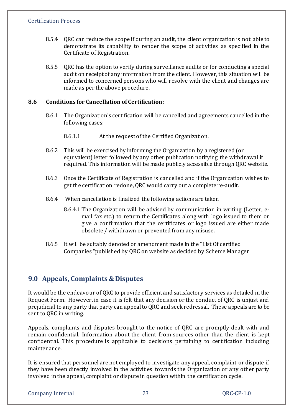- 8.5.4 QRC can reduce the scope if during an audit, the client organization is not able to demonstrate its capability to render the scope of activities as specified in the Certificate of Registration.
- 8.5.5 QRC has the option to verify during surveillance audits or for conducting a special audit on receipt of any information from the client. However, this situation will be informed to concerned persons who will resolve with the client and changes are made as per the above procedure.

## **8.6 Conditions for Cancellation of Certification:**

- 8.6.1 The Organization's certification will be cancelled and agreements cancelled in the following cases:
	- 8.6.1.1 At the request of the Certified Organization.
- 8.6.2 This will be exercised by informing the Organization by a registered (or equivalent) letter followed by any other publication notifying the withdrawal if required. This information will be made publicly accessible through QRC website.
- 8.6.3 Once the Certificate of Registration is cancelled and if the Organization wishes to get the certification redone, QRC would carry out a complete re-audit.
- 8.6.4 When cancellation is finalized the following actions are taken
	- 8.6.4.1 The Organization will be advised by communication in writing (Letter, email fax etc.) to return the Certificates along with logo issued to them or give a confirmation that the certificates or logo issued are either made obsolete / withdrawn or prevented from any misuse.
- 8.6.5 It will be suitably denoted or amendment made in the "List Of certified Companies "published by QRC on website as decided by Scheme Manager

# **9.0 Appeals, Complaints & Disputes**

It would be the endeavour of QRC to provide efficient and satisfactory services as detailed in the Request Form. However, in case it is felt that any decision or the conduct of QRC is unjust and prejudicial to any party that party can appeal to QRC and seek redressal. These appeals are to be sent to QRC in writing.

Appeals, complaints and disputes brought to the notice of QRC are promptly dealt with and remain confidential. Information about the client from sources other than the client is kept confidential. This procedure is applicable to decisions pertaining to certification including maintenance.

It is ensured that personnel are not employed to investigate any appeal, complaint or dispute if they have been directly involved in the activities towards the Organization or any other party involved in the appeal, complaint or dispute in question within the certification cycle.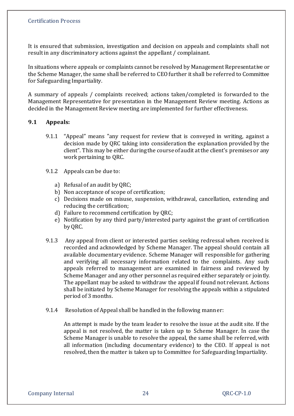It is ensured that submission, investigation and decision on appeals and complaints shall not result in any discriminatory actions against the appellant / complainant.

In situations where appeals or complaints cannot be resolved by Management Representative or the Scheme Manager, the same shall be referred to CEO further it shall be referred to Committee for Safeguarding Impartiality.

A summary of appeals / complaints received; actions taken/completed is forwarded to the Management Representative for presentation in the Management Review meeting. Actions as decided in the Management Review meeting are implemented for further effectiveness.

#### **9.1 Appeals:**

- 9.1.1 "Appeal" means "any request for review that is conveyed in writing, against a decision made by QRC taking into consideration the explanation provided by the client". This may be either during the course of audit at the client's premises or any work pertaining to QRC.
- 9.1.2 Appeals can be due to:
	- a) Refusal of an audit by QRC;
	- b) Non acceptance of scope of certification;
	- c) Decisions made on misuse, suspension, withdrawal, cancellation, extending and reducing the certification;
	- d) Failure to recommend certification by QRC;
	- e) Notification by any third party/interested party against the grant of certification by QRC.
- 9.1.3 Any appeal from client or interested parties seeking redressal when received is recorded and acknowledged by Scheme Manager. The appeal should contain all available documentary evidence. Scheme Manager will responsible for gathering and verifying all necessary information related to the complaints. Any such appeals referred to management are examined in fairness and reviewed by Scheme Manager and any other personnel as required either separately or jointly. The appellant may be asked to withdraw the appeal if found not relevant. Actions shall be initiated by Scheme Manager for resolving the appeals within a stipulated period of 3 months.
- 9.1.4 Resolution of Appeal shall be handled in the following manner:

An attempt is made by the team leader to resolve the issue at the audit site. If the appeal is not resolved, the matter is taken up to Scheme Manager. In case the Scheme Manager is unable to resolve the appeal, the same shall be referred, with all information (including documentary evidence) to the CEO. If appeal is not resolved, then the matter is taken up to Committee for Safeguarding Impartiality.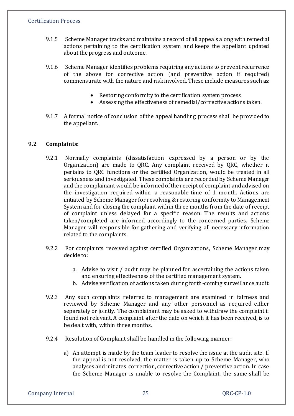- 9.1.5 Scheme Manager tracks and maintains a record of all appeals along with remedial actions pertaining to the certification system and keeps the appellant updated about the progress and outcome.
- 9.1.6 Scheme Manager identifies problems requiring any actions to prevent recurrence of the above for corrective action (and preventive action if required) commensurate with the nature and risk involved. These include measures such as:
	- Restoring conformity to the certification system process
	- Assessing the effectiveness of remedial/corrective actions taken.
- 9.1.7 A formal notice of conclusion of the appeal handling process shall be provided to the appellant.

#### **9.2 Complaints:**

- 9.2.1 Normally complaints (dissatisfaction expressed by a person or by the Organization) are made to QRC. Any complaint received by QRC, whether it pertains to QRC functions or the certified Organization, would be treated in all seriousness and investigated. These complaints are recorded by Scheme Manager and the complainant would be informed of the receipt of complaint and advised on the investigation required within a reasonable time of 1 month. Actions are initiated by Scheme Manager for resolving & restoring conformity to Management System and for closing the complaint within three months from the date of receipt of complaint unless delayed for a specific reason. The results and actions taken/completed are informed accordingly to the concerned parties. Scheme Manager will responsible for gathering and verifying all necessary information related to the complaints.
- 9.2.2 For complaints received against certified Organizations, Scheme Manager may decide to:
	- a. Advise to visit / audit may be planned for ascertaining the actions taken and ensuring effectiveness of the certified management system.
	- b. Advise verification of actions taken during forth-coming surveillance audit.
- 9.2.3 Any such complaints referred to management are examined in fairness and reviewed by Scheme Manager and any other personnel as required either separately or jointly. The complainant may be asked to withdraw the complaint if found not relevant. A complaint after the date on which it has been received, is to be dealt with, within three months.
- 9.2.4 Resolution of Complaint shall be handled in the following manner:
	- a) An attempt is made by the team leader to resolve the issue at the audit site. If the appeal is not resolved, the matter is taken up to Scheme Manager, who analyses and initiates correction, corrective action / preventive action. In case the Scheme Manager is unable to resolve the Complaint, the same shall be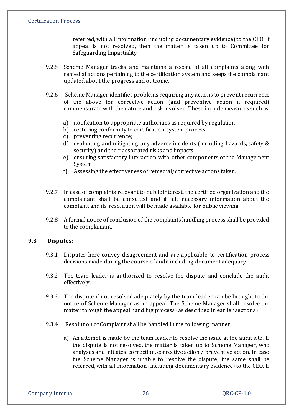referred, with all information (including documentary evidence) to the CEO. If appeal is not resolved, then the matter is taken up to Committee for Safeguarding Impartiality

- 9.2.5 Scheme Manager tracks and maintains a record of all complaints along with remedial actions pertaining to the certification system and keeps the complainant updated about the progress and outcome.
- 9.2.6 Scheme Manager identifies problems requiring any actions to prevent recurrence of the above for corrective action (and preventive action if required) commensurate with the nature and risk involved. These include measures such as:
	- a) notification to appropriate authorities as required by regulation
	- b) restoring conformity to certification system process
	- c) preventing recurrence;
	- d) evaluating and mitigating any adverse incidents (including hazards, safety & security) and their associated risks and impacts
	- e) ensuring satisfactory interaction with other components of the Management System
	- f) Assessing the effectiveness of remedial/corrective actions taken.
- 9.2.7 In case of complaints relevant to public interest, the certified organization and the complainant shall be consulted and if felt necessary information about the complaint and its resolution will be made available for public viewing.
- 9.2.8 A formal notice of conclusion of the complaints handling process shall be provided to the complainant.

#### **9.3 Disputes**:

- 9.3.1 Disputes here convey disagreement and are applicable to certification process decisions made during the course of audit including document adequacy.
- 9.3.2 The team leader is authorized to resolve the dispute and conclude the audit effectively.
- 9.3.3 The dispute if not resolved adequately by the team leader can be brought to the notice of Scheme Manager as an appeal. The Scheme Manager shall resolve the matter through the appeal handling process (as described in earlier sections)
- 9.3.4 Resolution of Complaint shall be handled in the following manner:
	- a) An attempt is made by the team leader to resolve the issue at the audit site. If the dispute is not resolved, the matter is taken up to Scheme Manager, who analyses and initiates correction, corrective action / preventive action. In case the Scheme Manager is unable to resolve the dispute, the same shall be referred, with all information (including documentary evidence) to the CEO. If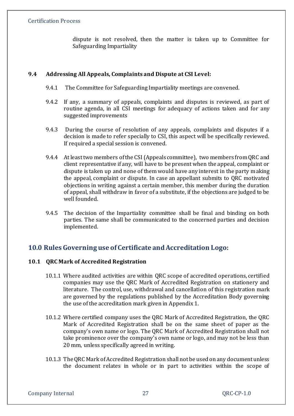dispute is not resolved, then the matter is taken up to Committee for Safeguarding Impartiality

## **9.4 Addressing All Appeals, Complaints and Dispute at CSI Level:**

- 9.4.1 The Committee for Safeguarding Impartiality meetings are convened.
- 9.4.2 If any, a summary of appeals, complaints and disputes is reviewed, as part of routine agenda, in all CSI meetings for adequacy of actions taken and for any suggested improvements
- 9.4.3 During the course of resolution of any appeals, complaints and disputes if a decision is made to refer specially to CSI, this aspect will be specifically reviewed. If required a special session is convened.
- 9.4.4 At least two members of the CSI (Appeals committee), two members from QRC and client representative if any, will have to be present when the appeal, complaint or dispute is taken up and none of them would have any interest in the party making the appeal, complaint or dispute. In case an appellant submits to QRC motivated objections in writing against a certain member, this member during the duration of appeal, shall withdraw in favor of a substitute, if the objections are judged to be well founded.
- 9.4.5 The decision of the Impartiality committee shall be final and binding on both parties. The same shall be communicated to the concerned parties and decision implemented.

# **10.0 Rules Governing use of Certificate and Accreditation Logo:**

# **10.1 QRC Mark of Accredited Registration**

- 10.1.1 Where audited activities are within QRC scope of accredited operations, certified companies may use the QRC Mark of Accredited Registration on stationery and literature. The control, use, withdrawal and cancellation of this registration mark are governed by the regulations published by the Accreditation Body governing the use of the accreditation mark given in Appendix 1.
- 10.1.2 Where certified company uses the QRC Mark of Accredited Registration, the QRC Mark of Accredited Registration shall be on the same sheet of paper as the company's own name or logo. The QRC Mark of Accredited Registration shall not take prominence over the company's own name or logo, and may not be less than 20 mm, unless specifically agreed in writing.
- 10.1.3 The QRC Mark of Accredited Registration shall not be used on any document unless the document relates in whole or in part to activities within the scope of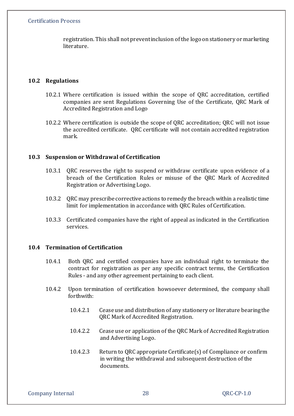registration. This shall not prevent inclusion of the logo on stationery or marketing literature.

#### **10.2 Regulations**

- 10.2.1 Where certification is issued within the scope of QRC accreditation, certified companies are sent Regulations Governing Use of the Certificate, QRC Mark of Accredited Registration and Logo
- 10.2.2 Where certification is outside the scope of QRC accreditation; QRC will not issue the accredited certificate. QRC certificate will not contain accredited registration mark.

#### **10.3 Suspension or Withdrawal of Certification**

- 10.3.1 QRC reserves the right to suspend or withdraw certificate upon evidence of a breach of the Certification Rules or misuse of the QRC Mark of Accredited Registration or Advertising Logo.
- 10.3.2 QRC may prescribe corrective actions to remedy the breach within a realistic time limit for implementation in accordance with QRC Rules of Certification.
- 10.3.3 Certificated companies have the right of appeal as indicated in the Certification services.

# **10.4 Termination of Certification**

- 10.4.1 Both QRC and certified companies have an individual right to terminate the contract for registration as per any specific contract terms, the Certification Rules - and any other agreement pertaining to each client.
- 10.4.2 Upon termination of certification howsoever determined, the company shall forthwith:
	- 10.4.2.1 Cease use and distribution of any stationery or literature bearing the QRC Mark of Accredited Registration.
	- 10.4.2.2 Cease use or application of the QRC Mark of Accredited Registration and Advertising Logo.
	- 10.4.2.3 Return to QRC appropriate Certificate(s) of Compliance or confirm in writing the withdrawal and subsequent destruction of the documents.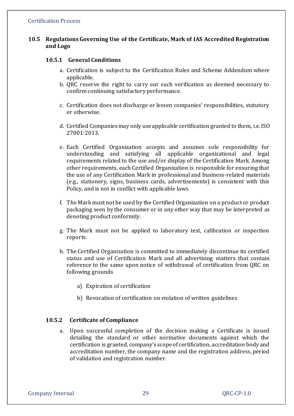## **10.5 Regulations Governing Use of the Certificate, Mark of IAS Accredited Registration and Logo**

#### **10.5.1 General Conditions**

- a. Certification is subject to the Certification Rules and Scheme Addendum where applicable.
- b. QRC reserve the right to carry out such verification as deemed necessary to confirm continuing satisfactory performance.
- c. Certification does not discharge or lessen companies' responsibilities, statutory or otherwise.
- d. Certified Companies may only use applicable certification granted to them, i.e. ISO 27001:2013.
- e. Each Certified Organization accepts and assumes sole responsibility for understanding and satisfying all applicable organizational and legal requirements related to the use and/or display of the Certification Mark. Among other requirements, each Certified Organization is responsible for ensuring that the use of any Certification Mark in professional and business-related materials (e.g., stationery, signs, business cards, advertisements) is consistent with this Policy, and is not in conflict with applicable laws.
- f. The Mark must not be used by the Certified Organization on a product or product packaging seen by the consumer or in any other way that may be interpreted as denoting product conformity.
- g. The Mark must not be applied to laboratory test, calibration or inspection reports.
- h. The Certified Organization is committed to immediately discontinue its certified status and use of Certification Mark and all advertising matters that contain reference to the same upon notice of withdrawal of certification from QRC on following grounds
	- a) Expiration of certification
	- b) Revocation of certification on violation of written guidelines

#### **10.5.2 Certificate of Compliance**

a. Upon successful completion of the decision making a Certificate is issued detailing the standard or other normative documents against which the certification is granted, company's scope of certification, accreditation body and accreditation number, the company name and the registration address, period of validation and registration number.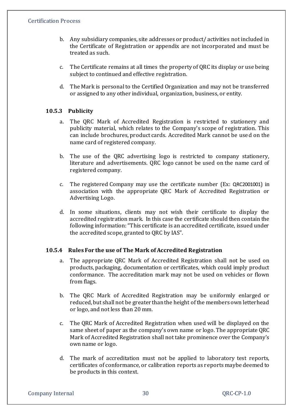- b. Any subsidiary companies, site addresses or product/ activities not included in the Certificate of Registration or appendix are not incorporated and must be treated as such.
- c. The Certificate remains at all times the property of QRC its display or use being subject to continued and effective registration.
- d. The Mark is personal to the Certified Organization and may not be transferred or assigned to any other individual, organization, business, or entity.

# **10.5.3 Publicity**

- a. The QRC Mark of Accredited Registration is restricted to stationery and publicity material, which relates to the Company's scope of registration. This can include brochures, product cards. Accredited Mark cannot be used on the name card of registered company.
- b. The use of the QRC advertising logo is restricted to company stationery, literature and advertisements. QRC logo cannot be used on the name card of registered company.
- c. The registered Company may use the certificate number (Ex: QRC2001001) in association with the appropriate QRC Mark of Accredited Registration or Advertising Logo.
- d. In some situations, clients may not wish their certificate to display the accredited registration mark. In this case the certificate should then contain the following information: "This certificate is an accredited certificate, issued under the accredited scope, granted to QRC by IAS".

# **10.5.4 Rules For the use of The Mark of Accredited Registration**

- a. The appropriate QRC Mark of Accredited Registration shall not be used on products, packaging, documentation or certificates, which could imply product conformance. The accreditation mark may not be used on vehicles or flown from flags.
- b. The QRC Mark of Accredited Registration may be uniformly enlarged or reduced, but shall not be greater than the height of the members own letterhead or logo, and not less than 20 mm.
- c. The QRC Mark of Accredited Registration when used will be displayed on the same sheet of paper as the company's own name or logo. The appropriate QRC Mark of Accredited Registration shall not take prominence over the Company's own name or logo.
- d. The mark of accreditation must not be applied to laboratory test reports, certificates of conformance, or calibration reports as reports maybe deemed to be products in this context.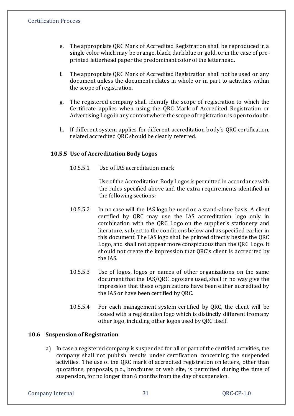- e. The appropriate QRC Mark of Accredited Registration shall be reproduced in a single color which may be orange, black, dark blue or gold, or in the case of preprinted letterhead paper the predominant color of the letterhead.
- f. The appropriate QRC Mark of Accredited Registration shall not be used on any document unless the document relates in whole or in part to activities within the scope of registration.
- g. The registered company shall identify the scope of registration to which the Certificate applies when using the QRC Mark of Accredited Registration or Advertising Logo in any context where the scope of registration is open to doubt.
- h. If different system applies for different accreditation body's QRC certification, related accredited QRC should be clearly referred.

#### **10.5.5 Use of Accreditation Body Logos**

10.5.5.1 Use of IAS accreditation mark

Use of the Accreditation Body Logos is permitted in accordance with the rules specified above and the extra requirements identified in the following sections:

- 10.5.5.2 In no case will the IAS logo be used on a stand-alone basis. A client certified by QRC may use the IAS accreditation logo only in combination with the QRC Logo on the supplier's stationery and literature, subject to the conditions below and as specified earlier in this document. The IAS logo shall be printed directly beside the QRC Logo, and shall not appear more conspicuous than the QRC Logo. It should not create the impression that QRC's client is accredited by the IAS.
- 10.5.5.3 Use of logos, logos or names of other organizations on the same document that the IAS/QRC logos are used, shall in no way give the impression that these organizations have been either accredited by the IAS or have been certified by QRC.
- 10.5.5.4 For each management system certified by QRC, the client will be issued with a registration logo which is distinctly different from any other logo, including other logos used by QRC itself.

# **10.6 Suspension of Registration**

a) In case a registered company is suspended for all or part of the certified activities, the company shall not publish results under certification concerning the suspended activities. The use of the QRC mark of accredited registration on letters, other than quotations, proposals, p.o., brochures or web site, is permitted during the time of suspension, for no longer than 6 months from the day of suspension.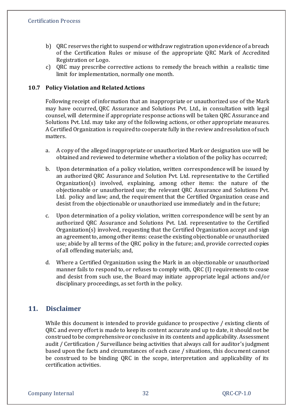- b) QRC reserves the right to suspend or withdraw registration upon evidence of a breach of the Certification Rules or misuse of the appropriate QRC Mark of Accredited Registration or Logo.
- c) QRC may prescribe corrective actions to remedy the breach within a realistic time limit for implementation, normally one month.

## **10.7 Policy Violation and Related Actions**

Following receipt of information that an inappropriate or unauthorized use of the Mark may have occurred, QRC Assurance and Solutions Pvt. Ltd., in consultation with legal counsel, will determine if appropriate response actions will be taken QRC Assurance and Solutions Pvt. Ltd. may take any of the following actions, or other appropriate measures. A Certified Organization is required to cooperate fully in the review and resolution of such matters.

- a. A copy of the alleged inappropriate or unauthorized Mark or designation use will be obtained and reviewed to determine whether a violation of the policy has occurred;
- b. Upon determination of a policy violation, written correspondence will be issued by an authorized QRC Assurance and Solution Pvt. Ltd. representative to the Certified Organization(s) involved, explaining, among other items: the nature of the objectionable or unauthorized use; the relevant QRC Assurance and Solutions Pvt. Ltd. policy and law; and, the requirement that the Certified Organization cease and desist from the objectionable or unauthorized use immediately and in the future;
- c. Upon determination of a policy violation, written correspondence will be sent by an authorized QRC Assurance and Solutions Pvt. Ltd. representative to the Certified Organization(s) involved, requesting that the Certified Organization accept and sign an agreement to, among other items: cease the existing objectionable or unauthorized use; abide by all terms of the QRC policy in the future; and, provide corrected copies of all offending materials; and,
- d. Where a Certified Organization using the Mark in an objectionable or unauthorized manner fails to respond to, or refuses to comply with, QRC (I) requirements to cease and desist from such use, the Board may initiate appropriate legal actions and/or disciplinary proceedings, as set forth in the policy.

# **11. Disclaimer**

While this document is intended to provide guidance to prospective / existing clients of QRC and every effort is made to keep its content accurate and up to date, it should not be construed to be comprehensive or conclusive in its contents and applicability. Assessment audit / Certification / Surveillance being activities that always call for auditor's judgment based upon the facts and circumstances of each case / situations, this document cannot be construed to be binding QRC in the scope, interpretation and applicability of its certification activities.